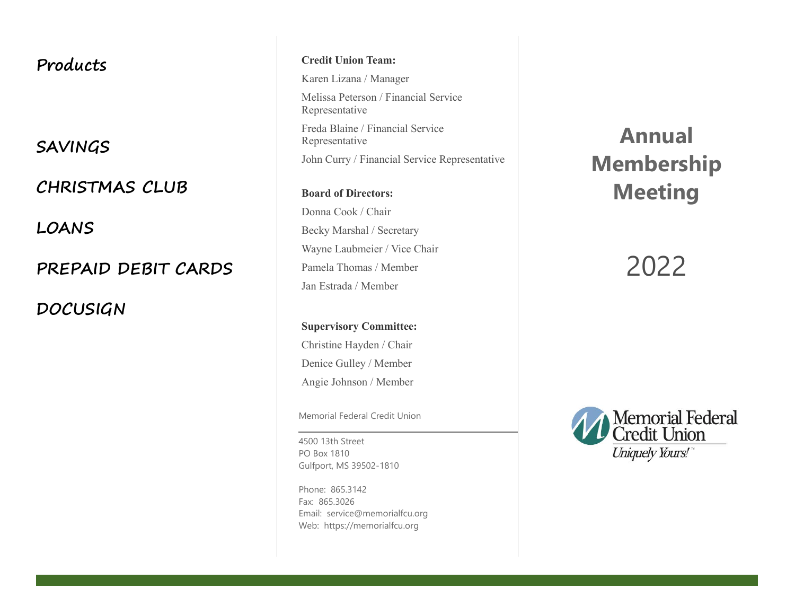## **Products**

**SAVINGS**

**CHRISTMAS CLUB**

**LOANS**

**PREPAID DEBIT CARDS**

**DOCUSIGN**

**Credit Union Team:**

Karen Lizana / Manager Melissa Peterson / Financial Service Representative Freda Blaine / Financial Service Representative John Curry / Financial Service Representative

**Board of Directors:** Donna Cook / Chair Becky Marshal / Secretary Wayne Laubmeier / Vice Chair Pamela Thomas / Member Jan Estrada / Member

**Supervisory Committee:** Christine Hayden / Chair Denice Gulley / Member Angie Johnson / Member

Memorial Federal Credit Union

4500 13th Street PO Box 1810 Gulfport, MS 39502-1810

Phone: 865.3142 Fax: 865.3026 Email: service@memorialfcu.org Web: https://memorialfcu.org

**Annual Membership Meeting**

# 2022